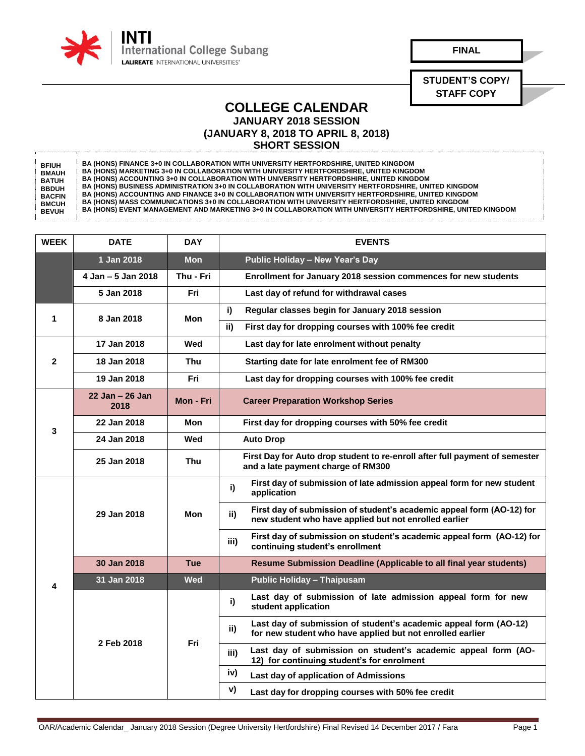

**FINAL**

**STUDENT'S COPY/ STAFF COPY**

## **COLLEGE CALENDAR JANUARY 2018 SESSION (JANUARY 8, 2018 TO APRIL 8, 2018) SHORT SESSION**

**BFIUH BMAUH BATUH BBDUH BACFIN BMCUH BEVUH BA (HONS) FINANCE 3+0 IN COLLABORATION WITH UNIVERSITY HERTFORDSHIRE, UNITED KINGDOM BA (HONS) MARKETING 3+0 IN COLLABORATION WITH UNIVERSITY HERTFORDSHIRE, UNITED KINGDOM BA (HONS) ACCOUNTING 3+0 IN COLLABORATION WITH UNIVERSITY HERTFORDSHIRE, UNITED KINGDOM BA (HONS) BUSINESS ADMINISTRATION 3+0 IN COLLABORATION WITH UNIVERSITY HERTFORDSHIRE, UNITED KINGDOM BA (HONS) ACCOUNTING AND FINANCE 3+0 IN COLLABORATION WITH UNIVERSITY HERTFORDSHIRE, UNITED KINGDOM BA (HONS) MASS COMMUNICATIONS 3+0 IN COLLABORATION WITH UNIVERSITY HERTFORDSHIRE, UNITED KINGDOM BA (HONS) EVENT MANAGEMENT AND MARKETING 3+0 IN COLLABORATION WITH UNIVERSITY HERTFORDSHIRE, UNITED KINGDOM** 

| <b>WEEK</b>  | <b>DATE</b>                 | <b>DAY</b> | <b>EVENTS</b>                                                                                                                         |
|--------------|-----------------------------|------------|---------------------------------------------------------------------------------------------------------------------------------------|
|              | 1 Jan 2018                  | <b>Mon</b> | Public Holiday - New Year's Day                                                                                                       |
|              | 4 Jan - 5 Jan 2018          | Thu - Fri  | Enrollment for January 2018 session commences for new students                                                                        |
|              | 5 Jan 2018                  | Fri        | Last day of refund for withdrawal cases                                                                                               |
| 1            | 8 Jan 2018                  | Mon        | i)<br>Regular classes begin for January 2018 session                                                                                  |
|              |                             |            | ii)<br>First day for dropping courses with 100% fee credit                                                                            |
| $\mathbf{2}$ | 17 Jan 2018                 | Wed        | Last day for late enrolment without penalty                                                                                           |
|              | 18 Jan 2018                 | Thu        | Starting date for late enrolment fee of RM300                                                                                         |
|              | 19 Jan 2018                 | Fri        | Last day for dropping courses with 100% fee credit                                                                                    |
| 3            | $22$ Jan $-$ 26 Jan<br>2018 | Mon - Fri  | <b>Career Preparation Workshop Series</b>                                                                                             |
|              | 22 Jan 2018                 | Mon        | First day for dropping courses with 50% fee credit                                                                                    |
|              | 24 Jan 2018                 | Wed        | <b>Auto Drop</b>                                                                                                                      |
|              | 25 Jan 2018                 | <b>Thu</b> | First Day for Auto drop student to re-enroll after full payment of semester<br>and a late payment charge of RM300                     |
| 4            | 29 Jan 2018                 | Mon        | First day of submission of late admission appeal form for new student<br>i)<br>application                                            |
|              |                             |            | First day of submission of student's academic appeal form (AO-12) for<br>ii)<br>new student who have applied but not enrolled earlier |
|              |                             |            | First day of submission on student's academic appeal form (AO-12) for<br>iii)<br>continuing student's enrollment                      |
|              | 30 Jan 2018                 | <b>Tue</b> | Resume Submission Deadline (Applicable to all final year students)                                                                    |
|              | 31 Jan 2018                 | <b>Wed</b> | <b>Public Holiday - Thaipusam</b>                                                                                                     |
|              | 2 Feb 2018                  | Fri        | Last day of submission of late admission appeal form for new<br>i)<br>student application                                             |
|              |                             |            | Last day of submission of student's academic appeal form (AO-12)<br>ii)<br>for new student who have applied but not enrolled earlier  |
|              |                             |            | Last day of submission on student's academic appeal form (AO-<br>iii)<br>12) for continuing student's for enrolment                   |
|              |                             |            | iv)<br>Last day of application of Admissions                                                                                          |
|              |                             |            | v)<br>Last day for dropping courses with 50% fee credit                                                                               |